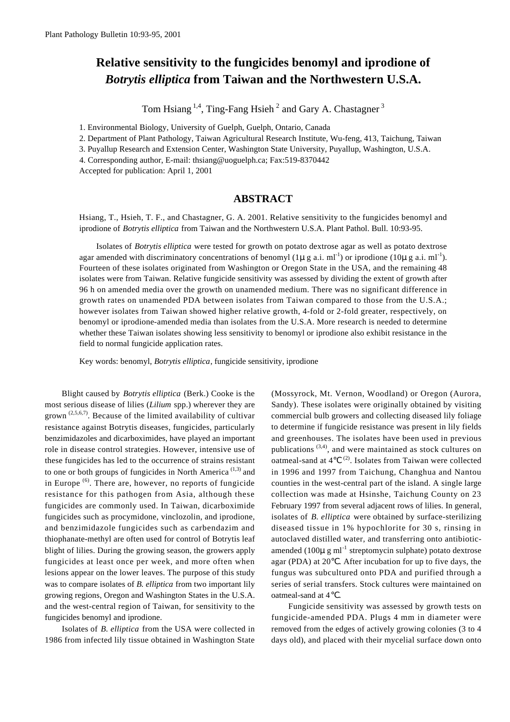## **Relative sensitivity to the fungicides benomyl and iprodione of** *Botrytis elliptica* from Taiwan and the Northwestern U.S.A.

Tom Hsiang  $^{1,4}$ , Ting-Fang Hsieh<sup>2</sup> and Gary A. Chastagner<sup>3</sup>

1. Environmental Biology, University of Guelph, Guelph, Ontario, Canada

2. Department of Plant Pathology, Taiwan Agricultural Research Institute, Wu-feng, 413, Taichung, Taiwan

3. Puyallup Research and Extension Center, Washington State University, Puyallup, Washington, U.S.A.

4. Corresponding author, E-mail: thsiang@uoguelph.ca; Fax:519-8370442

Accepted for publication: April 1, 2001

## **ABSTRACT**

Hsiang, T., Hsieh, T. F., and Chastagner, G. A. 2001. Relative sensitivity to the fungicides benomyl and iprodione of *Botrytis elliptica* from Taiwan and the Northwestern U.S.A. Plant Pathol. Bull. 10:93-95.

Isolates of *Botrytis elliptica* were tested for growth on potato dextrose agar as well as potato dextrose agar amended with discriminatory concentrations of benomyl  $(1\mu g a.i. mI^{-1})$  or iprodione  $(10\mu g a.i. mI^{-1})$ . Fourteen of these isolates originated from Washington or Oregon State in the USA, and the remaining 48 isolates were from Taiwan. Relative fungicide sensitivity was assessed by dividing the extent of growth after 96 h on amended media over the growth on unamended medium. There was no significant difference in growth rates on unamended PDA between isolates from Taiwan compared to those from the U.S.A.; however isolates from Taiwan showed higher relative growth, 4-fold or 2-fold greater, respectively, on benomyl or iprodione-amended media than isolates from the U.S.A. More research is needed to determine whether these Taiwan isolates showing less sensitivity to benomyl or iprodione also exhibit resistance in the field to normal fungicide application rates.

Key words: benomyl, *Botrytis elliptica*, fungicide sensitivity, iprodione

Blight caused by *Botrytis elliptica* (Berk.) Cooke is the most serious disease of lilies (*Lilium* spp.) wherever they are grown  $(2,5,6,7)$ . Because of the limited availability of cultivar resistance against Botrytis diseases, fungicides, particularly benzimidazoles and dicarboximides, have played an important role in disease control strategies. However, intensive use of these fungicides has led to the occurrence of strains resistant to one or both groups of fungicides in North America<sup> $(1,3)$ </sup> and in Europe  $<sup>(6)</sup>$ . There are, however, no reports of fungicide</sup> resistance for this pathogen from Asia, although these fungicides are commonly used. In Taiwan, dicarboximide fungicides such as procymidone, vinclozolin, and iprodione, and benzimidazole fungicides such as carbendazim and thiophanate-methyl are often used for control of Botrytis leaf blight of lilies. During the growing season, the growers apply fungicides at least once per week, and more often when lesions appear on the lower leaves. The purpose of this study was to compare isolates of *B. elliptica* from two important lily growing regions, Oregon and Washington States in the U.S.A. and the west-central region of Taiwan, for sensitivity to the fungicides benomyl and iprodione.

Isolates of *B. elliptica* from the USA were collected in 1986 from infected lily tissue obtained in Washington State

(Mossyrock, Mt. Vernon, Woodland) or Oregon (Aurora, Sandy). These isolates were originally obtained by visiting commercial bulb growers and collecting diseased lily foliage to determine if fungicide resistance was present in lily fields and greenhouses. The isolates have been used in previous publications  $(3,4)$ , and were maintained as stock cultures on oatmeal-sand at  $4 \times (2)$ . Isolates from Taiwan were collected in 1996 and 1997 from Taichung, Changhua and Nantou counties in the west-central part of the island. A single large collection was made at Hsinshe, Taichung County on 23 February 1997 from several adjacent rows of lilies. In general, isolates of *B. elliptica* were obtained by surface-sterilizing diseased tissue in 1% hypochlorite for 30 s, rinsing in autoclaved distilled water, and transferring onto antibioticamended (100 $\mu$  g ml<sup>-1</sup> streptomycin sulphate) potato dextrose agar (PDA) at 20 . After incubation for up to five days, the fungus was subcultured onto PDA and purified through a series of serial transfers. Stock cultures were maintained on oatmeal-sand at 4

Fungicide sensitivity was assessed by growth tests on fungicide-amended PDA. Plugs 4 mm in diameter were removed from the edges of actively growing colonies (3 to 4 days old), and placed with their mycelial surface down onto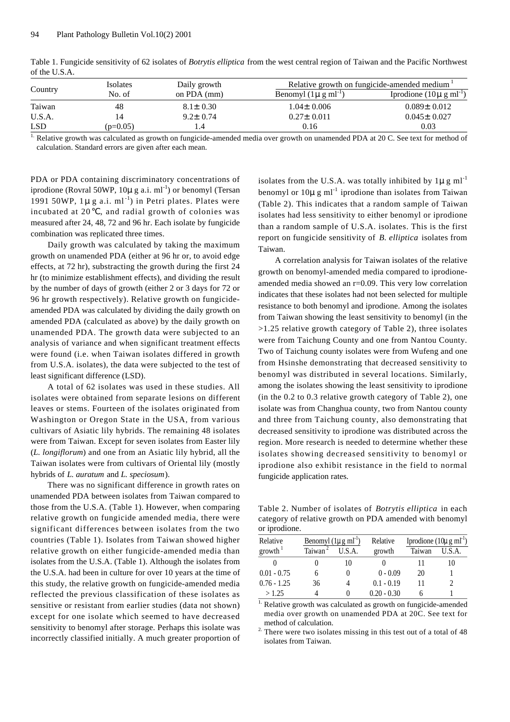| Country    | Isolates   | Daily growth   | Relative growth on fungicide-amended medium |                                      |  |
|------------|------------|----------------|---------------------------------------------|--------------------------------------|--|
|            | No. of     | on $PDA$ (mm)  | Benomyl $(1\mu g \text{ ml}^{-1})$          | Iprodione $(10\mu \text{ g m}^{-1})$ |  |
| Taiwan     | 48         | $8.1 \pm 0.30$ | $1.04 \pm 0.006$                            | $0.089 \pm 0.012$                    |  |
| U.S.A.     |            | $9.2 \pm 0.74$ | $0.27 \pm 0.011$                            | $0.045 \pm 0.027$                    |  |
| <b>LSD</b> | $(p=0.05)$ | 4.4            | 0.16                                        | 0.03                                 |  |

Table 1. Fungicide sensitivity of 62 isolates of *Botrytis elliptica* from the west central region of Taiwan and the Pacific Northwest of the U.S.A.

<sup>1.</sup> Relative growth was calculated as growth on fungicide-amended media over growth on unamended PDA at 20 C. See text for method of calculation. Standard errors are given after each mean.

PDA or PDA containing discriminatory concentrations of iprodione (Rovral 50WP,  $10\mu$  g a.i. ml<sup>-1</sup>) or benomyl (Tersan 1991 50WP,  $1\mu$ g a.i. ml<sup>-1</sup>) in Petri plates. Plates were incubated at 20 , and radial growth of colonies was measured after 24, 48, 72 and 96 hr. Each isolate by fungicide combination was replicated three times.

Daily growth was calculated by taking the maximum growth on unamended PDA (either at 96 hr or, to avoid edge e ffects, at 72 hr), substracting the growth during the first 24 hr (to minimize establishment effects), and dividing the result by the number of days of growth (either 2 or 3 days for 72 or 96 hr growth respectively). Relative growth on fungicideamended PDA was calculated by dividing the daily growth on amended PDA (calculated as above) by the daily growth on unamended PDA. The growth data were subjected to an analysis of variance and when significant treatment effects were found (i.e. when Taiwan isolates differed in growth from U.S.A. isolates), the data were subjected to the test of least significant difference (LSD).

A total of 62 isolates was used in these studies. All isolates were obtained from separate lesions on different leaves or stems. Fourteen of the isolates originated from Washington or Oregon State in the USA, from various cultivars of Asiatic lily hybrids. The remaining 48 isolates were from Taiwan. Except for seven isolates from Easter lily (*L. longiflorum*) and one from an Asiatic lily hybrid, all the Taiwan isolates were from cultivars of Oriental lily (mostly hybrids of *L. auratum* and *L. speciosum*) .

There was no significant difference in growth rates on unamended PDA between isolates from Taiwan compared to those from the U.S.A. (Table 1). However, when comparing relative growth on fungicide amended media, there were significant differences between isolates from the two countries (Table 1). Isolates from Taiwan showed higher relative growth on either fungicide-amended media than isolates from the U.S.A. (Table 1). Although the isolates from the U.S.A. had been in culture for over 10 years at the time of this study, the relative growth on fungicide-amended media reflected the previous classification of these isolates as sensitive or resistant from earlier studies (data not shown) except for one isolate which seemed to have decreased sensitivity to benomyl after storage. Perhaps this isolate was incorrectly classified initially. A much greater proportion of isolates from the U.S.A. was totally inhibited by  $1\mu g$  ml<sup>-1</sup> benomyl or  $10\mu$  g ml<sup>-1</sup> iprodione than isolates from Taiwan (Table 2). This indicates that a random sample of Taiwan isolates had less sensitivity to either benomyl or iprodione than a random sample of U.S.A. isolates. This is the first report on fungicide sensitivity of *B. elliptica* isolates from Taiwan.

A correlation analysis for Taiwan isolates of the relative growth on benomyl-amended media compared to iprodioneamended media showed an r=0.09. This very low correlation indicates that these isolates had not been selected for multiple resistance to both benomyl and iprodione. Among the isolates from Taiwan showing the least sensitivity to benomyl (in the >1.25 relative growth category of Table 2), three isolates were from Taichung County and one from Nantou County. Two of Taichung county isolates were from Wufeng and one from Hsinshe demonstrating that decreased sensitivity to benomyl was distributed in several locations. Similarly, among the isolates showing the least sensitivity to iprodione (in the 0.2 to 0.3 relative growth category of Table 2), one isolate was from Changhua county, two from Nantou county and three from Taichung county, also demonstrating that decreased sensitivity to iprodione was distributed across the region. More research is needed to determine whether these isolates showing decreased sensitivity to benomyl or iprodione also exhibit resistance in the field to normal fungicide application rates.

Table 2. Number of isolates of *Botrytis elliptica* in each category of relative growth on PDA amended with benomyl or iprodione.

| Relative            | Benomyl $(1\mu g \text{ ml}^{-1})$ |        | Relative      | Iprodione $(10\mu g \text{ ml}^{-1})$ |        |
|---------------------|------------------------------------|--------|---------------|---------------------------------------|--------|
| growth <sup>1</sup> | Taiwan                             | U.S.A. | growth        | Taiwan                                | U.S.A. |
|                     |                                    | 10     |               |                                       |        |
| $0.01 - 0.75$       |                                    | 0      | $0 - 0.09$    | 20                                    |        |
| $0.76 - 1.25$       | 36                                 |        | $0.1 - 0.19$  |                                       |        |
| >1.25               |                                    |        | $0.20 - 0.30$ |                                       |        |

Relative growth was calculated as growth on fungicide-amended media over growth on unamended PDA at 20C. See text for method of calculation.

 $2\cdot$  There were two isolates missing in this test out of a total of 48 isolates from Taiwan.